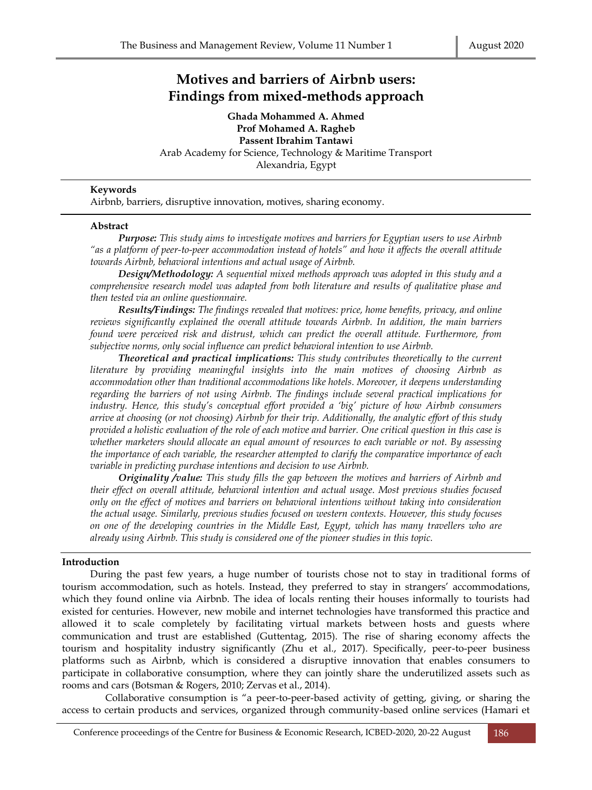# **Motives and barriers of Airbnb users: Findings from mixed-methods approach**

**Ghada Mohammed A. Ahmed Prof Mohamed A. Ragheb Passent Ibrahim Tantawi** Arab Academy for Science, Technology & Maritime Transport Alexandria, Egypt

## **Keywords**

Airbnb, barriers, disruptive innovation, motives, sharing economy.

#### **Abstract**

*Purpose: This study aims to investigate motives and barriers for Egyptian users to use Airbnb "as a platform of peer-to-peer accommodation instead of hotels" and how it affects the overall attitude towards Airbnb, behavioral intentions and actual usage of Airbnb.*

*Design/Methodology: A sequential mixed methods approach was adopted in this study and a comprehensive research model was adapted from both literature and results of qualitative phase and then tested via an online questionnaire.*

*Results/Findings: The findings revealed that motives: price, home benefits, privacy, and online reviews significantly explained the overall attitude towards Airbnb. In addition, the main barriers found were perceived risk and distrust, which can predict the overall attitude. Furthermore, from subjective norms, only social influence can predict behavioral intention to use Airbnb.*

*Theoretical and practical implications: This study contributes theoretically to the current literature by providing meaningful insights into the main motives of choosing Airbnb as accommodation other than traditional accommodations like hotels. Moreover, it deepens understanding regarding the barriers of not using Airbnb. The findings include several practical implications for industry. Hence, this study's conceptual effort provided a 'big' picture of how Airbnb consumers arrive at choosing (or not choosing) Airbnb for their trip. Additionally, the analytic effort of this study provided a holistic evaluation of the role of each motive and barrier. One critical question in this case is whether marketers should allocate an equal amount of resources to each variable or not. By assessing the importance of each variable, the researcher attempted to clarify the comparative importance of each variable in predicting purchase intentions and decision to use Airbnb.*

*Originality /value: This study fills the gap between the motives and barriers of Airbnb and their effect on overall attitude, behavioral intention and actual usage. Most previous studies focused only on the effect of motives and barriers on behavioral intentions without taking into consideration the actual usage. Similarly, previous studies focused on western contexts. However, this study focuses on one of the developing countries in the Middle East, Egypt, which has many travellers who are already using Airbnb. This study is considered one of the pioneer studies in this topic.*

## **Introduction**

During the past few years, a huge number of tourists chose not to stay in traditional forms of tourism accommodation, such as hotels. Instead, they preferred to stay in strangers' accommodations, which they found online via Airbnb. The idea of locals renting their houses informally to tourists had existed for centuries. However, new mobile and internet technologies have transformed this practice and allowed it to scale completely by facilitating virtual markets between hosts and guests where communication and trust are established (Guttentag, 2015). The rise of sharing economy affects the tourism and hospitality industry significantly (Zhu et al., 2017). Specifically, peer-to-peer business platforms such as Airbnb, which is considered a disruptive innovation that enables consumers to participate in collaborative consumption, where they can jointly share the underutilized assets such as rooms and cars (Botsman & Rogers, 2010; Zervas et al., 2014).

 Collaborative consumption is "a peer-to-peer-based activity of getting, giving, or sharing the access to certain products and services, organized through community-based online services (Hamari et

Conference proceedings of the Centre for Business & Economic Research, ICBED-2020, 20-22 August 186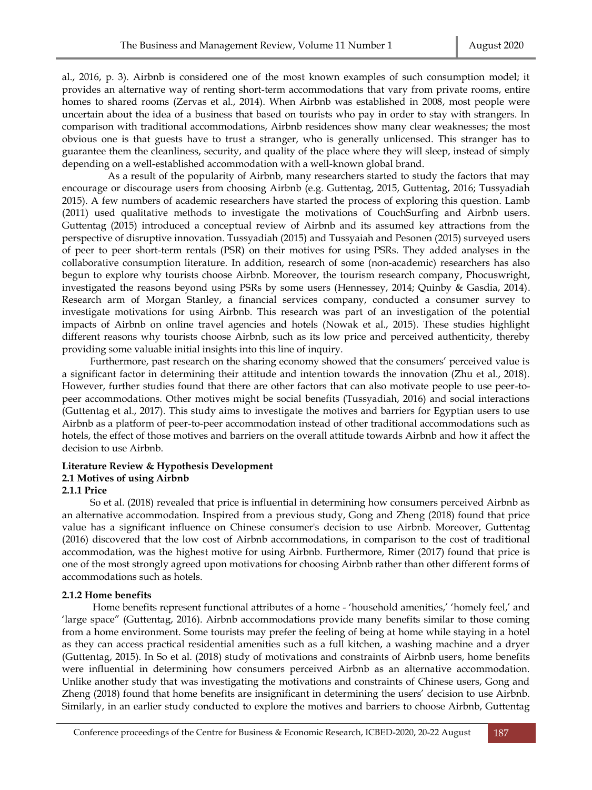al., 2016, p. 3). Airbnb is considered one of the most known examples of such consumption model; it provides an alternative way of renting short-term accommodations that vary from private rooms, entire homes to shared rooms (Zervas et al., 2014). When Airbnb was established in 2008, most people were uncertain about the idea of a business that based on tourists who pay in order to stay with strangers. In comparison with traditional accommodations, Airbnb residences show many clear weaknesses; the most obvious one is that guests have to trust a stranger, who is generally unlicensed. This stranger has to guarantee them the cleanliness, security, and quality of the place where they will sleep, instead of simply depending on a well-established accommodation with a well-known global brand.

 As a result of the popularity of Airbnb, many researchers started to study the factors that may encourage or discourage users from choosing Airbnb (e.g. Guttentag, 2015, Guttentag, 2016; Tussyadiah 2015). A few numbers of academic researchers have started the process of exploring this question. Lamb (2011) used qualitative methods to investigate the motivations of CouchSurfing and Airbnb users. Guttentag (2015) introduced a conceptual review of Airbnb and its assumed key attractions from the perspective of disruptive innovation. Tussyadiah (2015) and Tussyaiah and Pesonen (2015) surveyed users of peer to peer short-term rentals (PSR) on their motives for using PSRs. They added analyses in the collaborative consumption literature. In addition, research of some (non-academic) researchers has also begun to explore why tourists choose Airbnb. Moreover, the tourism research company, Phocuswright, investigated the reasons beyond using PSRs by some users (Hennessey, 2014; Quinby & Gasdia, 2014). Research arm of Morgan Stanley, a financial services company, conducted a consumer survey to investigate motivations for using Airbnb. This research was part of an investigation of the potential impacts of Airbnb on online travel agencies and hotels (Nowak et al., 2015). These studies highlight different reasons why tourists choose Airbnb, such as its low price and perceived authenticity, thereby providing some valuable initial insights into this line of inquiry.

Furthermore, past research on the sharing economy showed that the consumers' perceived value is a significant factor in determining their attitude and intention towards the innovation (Zhu et al., 2018). However, further studies found that there are other factors that can also motivate people to use peer-topeer accommodations. Other motives might be social benefits (Tussyadiah, 2016) and social interactions (Guttentag et al., 2017). This study aims to investigate the motives and barriers for Egyptian users to use Airbnb as a platform of peer-to-peer accommodation instead of other traditional accommodations such as hotels, the effect of those motives and barriers on the overall attitude towards Airbnb and how it affect the decision to use Airbnb.

## **Literature Review & Hypothesis Development 2.1 Motives of using Airbnb 2.1.1 Price**

So et al. (2018) revealed that price is influential in determining how consumers perceived Airbnb as an alternative accommodation. Inspired from a previous study, Gong and Zheng (2018) found that price value has a significant influence on Chinese consumer's decision to use Airbnb. Moreover, Guttentag (2016) discovered that the low cost of Airbnb accommodations, in comparison to the cost of traditional accommodation, was the highest motive for using Airbnb. Furthermore, Rimer (2017) found that price is one of the most strongly agreed upon motivations for choosing Airbnb rather than other different forms of accommodations such as hotels.

## **2.1.2 Home benefits**

Home benefits represent functional attributes of a home - 'household amenities,' 'homely feel,' and 'large space" (Guttentag, 2016). Airbnb accommodations provide many benefits similar to those coming from a home environment. Some tourists may prefer the feeling of being at home while staying in a hotel as they can access practical residential amenities such as a full kitchen, a washing machine and a dryer (Guttentag, 2015). In So et al. (2018) study of motivations and constraints of Airbnb users, home benefits were influential in determining how consumers perceived Airbnb as an alternative accommodation. Unlike another study that was investigating the motivations and constraints of Chinese users, Gong and Zheng (2018) found that home benefits are insignificant in determining the users' decision to use Airbnb. Similarly, in an earlier study conducted to explore the motives and barriers to choose Airbnb, Guttentag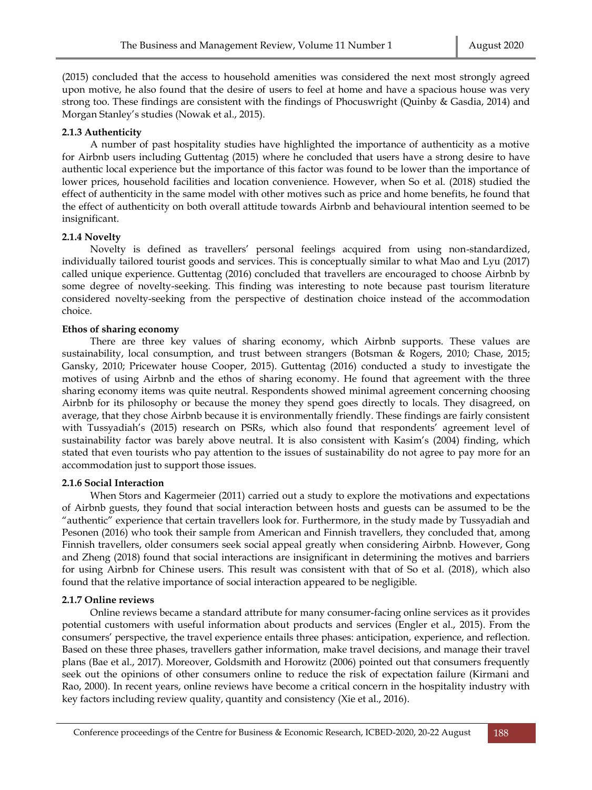(2015) concluded that the access to household amenities was considered the next most strongly agreed upon motive, he also found that the desire of users to feel at home and have a spacious house was very strong too. These findings are consistent with the findings of Phocuswright (Quinby & Gasdia, 2014) and Morgan Stanley's studies (Nowak et al., 2015).

## **2.1.3 Authenticity**

A number of past hospitality studies have highlighted the importance of authenticity as a motive for Airbnb users including Guttentag (2015) where he concluded that users have a strong desire to have authentic local experience but the importance of this factor was found to be lower than the importance of lower prices, household facilities and location convenience. However, when So et al. (2018) studied the effect of authenticity in the same model with other motives such as price and home benefits, he found that the effect of authenticity on both overall attitude towards Airbnb and behavioural intention seemed to be insignificant.

## **2.1.4 Novelty**

Novelty is defined as travellers' personal feelings acquired from using non-standardized, individually tailored tourist goods and services. This is conceptually similar to what Mao and Lyu (2017) called unique experience. Guttentag (2016) concluded that travellers are encouraged to choose Airbnb by some degree of novelty-seeking. This finding was interesting to note because past tourism literature considered novelty-seeking from the perspective of destination choice instead of the accommodation choice.

## **Ethos of sharing economy**

There are three key values of sharing economy, which Airbnb supports. These values are sustainability, local consumption, and trust between strangers (Botsman & Rogers, 2010; Chase, 2015; Gansky, 2010; Pricewater house Cooper, 2015). Guttentag (2016) conducted a study to investigate the motives of using Airbnb and the ethos of sharing economy. He found that agreement with the three sharing economy items was quite neutral. Respondents showed minimal agreement concerning choosing Airbnb for its philosophy or because the money they spend goes directly to locals. They disagreed, on average, that they chose Airbnb because it is environmentally friendly. These findings are fairly consistent with Tussyadiah's (2015) research on PSRs, which also found that respondents' agreement level of sustainability factor was barely above neutral. It is also consistent with Kasim's (2004) finding, which stated that even tourists who pay attention to the issues of sustainability do not agree to pay more for an accommodation just to support those issues.

## **2.1.6 Social Interaction**

When Stors and Kagermeier (2011) carried out a study to explore the motivations and expectations of Airbnb guests, they found that social interaction between hosts and guests can be assumed to be the "authentic" experience that certain travellers look for. Furthermore, in the study made by Tussyadiah and Pesonen (2016) who took their sample from American and Finnish travellers, they concluded that, among Finnish travellers, older consumers seek social appeal greatly when considering Airbnb. However, Gong and Zheng (2018) found that social interactions are insignificant in determining the motives and barriers for using Airbnb for Chinese users. This result was consistent with that of So et al. (2018), which also found that the relative importance of social interaction appeared to be negligible.

## **2.1.7 Online reviews**

Online reviews became a standard attribute for many consumer-facing online services as it provides potential customers with useful information about products and services (Engler et al., 2015). From the consumers' perspective, the travel experience entails three phases: anticipation, experience, and reflection. Based on these three phases, travellers gather information, make travel decisions, and manage their travel plans (Bae et al., 2017). Moreover, Goldsmith and Horowitz (2006) pointed out that consumers frequently seek out the opinions of other consumers online to reduce the risk of expectation failure (Kirmani and Rao, 2000). In recent years, online reviews have become a critical concern in the hospitality industry with key factors including review quality, quantity and consistency (Xie et al., 2016).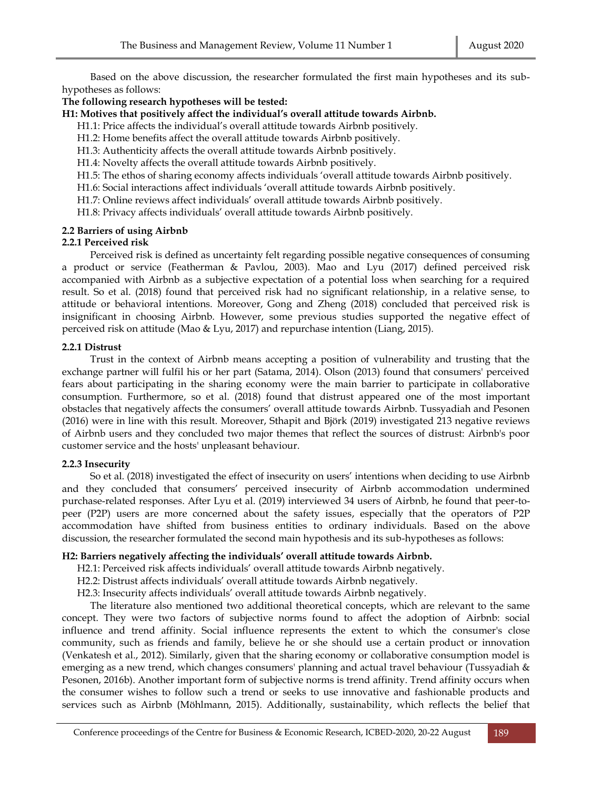Based on the above discussion, the researcher formulated the first main hypotheses and its subhypotheses as follows:

## **The following research hypotheses will be tested:**

**H1: Motives that positively affect the individual's overall attitude towards Airbnb.**

H1.1: Price affects the individual's overall attitude towards Airbnb positively.

- H1.2: Home benefits affect the overall attitude towards Airbnb positively.
- H1.3: Authenticity affects the overall attitude towards Airbnb positively.
- H1.4: Novelty affects the overall attitude towards Airbnb positively.
- H1.5: The ethos of sharing economy affects individuals 'overall attitude towards Airbnb positively.
- H1.6: Social interactions affect individuals 'overall attitude towards Airbnb positively.
- H1.7: Online reviews affect individuals' overall attitude towards Airbnb positively.
- H1.8: Privacy affects individuals' overall attitude towards Airbnb positively.

## **2.2 Barriers of using Airbnb**

## **2.2.1 Perceived risk**

Perceived risk is defined as uncertainty felt regarding possible negative consequences of consuming a product or service (Featherman & Pavlou, 2003). Mao and Lyu (2017) defined perceived risk accompanied with Airbnb as a subjective expectation of a potential loss when searching for a required result. So et al. (2018) found that perceived risk had no significant relationship, in a relative sense, to attitude or behavioral intentions. Moreover, Gong and Zheng (2018) concluded that perceived risk is insignificant in choosing Airbnb. However, some previous studies supported the negative effect of perceived risk on attitude (Mao & Lyu, 2017) and repurchase intention (Liang, 2015).

## **2.2.1 Distrust**

Trust in the context of Airbnb means accepting a position of vulnerability and trusting that the exchange partner will fulfil his or her part (Satama, 2014). Olson (2013) found that consumers' perceived fears about participating in the sharing economy were the main barrier to participate in collaborative consumption. Furthermore, so et al. (2018) found that distrust appeared one of the most important obstacles that negatively affects the consumers' overall attitude towards Airbnb. Tussyadiah and Pesonen (2016) were in line with this result. Moreover, Sthapit and Björk (2019) investigated 213 negative reviews of Airbnb users and they concluded two major themes that reflect the sources of distrust: Airbnb's poor customer service and the hosts' unpleasant behaviour.

# **2.2.3 Insecurity**

So et al. (2018) investigated the effect of insecurity on users' intentions when deciding to use Airbnb and they concluded that consumers' perceived insecurity of Airbnb accommodation undermined purchase-related responses. After Lyu et al. (2019) interviewed 34 users of Airbnb, he found that peer-topeer (P2P) users are more concerned about the safety issues, especially that the operators of P2P accommodation have shifted from business entities to ordinary individuals. Based on the above discussion, the researcher formulated the second main hypothesis and its sub-hypotheses as follows:

## **H2: Barriers negatively affecting the individuals' overall attitude towards Airbnb.**

- H2.1: Perceived risk affects individuals' overall attitude towards Airbnb negatively.
- H2.2: Distrust affects individuals' overall attitude towards Airbnb negatively.
- H2.3: Insecurity affects individuals' overall attitude towards Airbnb negatively.

The literature also mentioned two additional theoretical concepts, which are relevant to the same concept. They were two factors of subjective norms found to affect the adoption of Airbnb: social influence and trend affinity. Social influence represents the extent to which the consumer's close community, such as friends and family, believe he or she should use a certain product or innovation (Venkatesh et al., 2012). Similarly, given that the sharing economy or collaborative consumption model is emerging as a new trend, which changes consumers' planning and actual travel behaviour (Tussyadiah & Pesonen, 2016b). Another important form of subjective norms is trend affinity. Trend affinity occurs when the consumer wishes to follow such a trend or seeks to use innovative and fashionable products and services such as Airbnb (Möhlmann, 2015). Additionally, sustainability, which reflects the belief that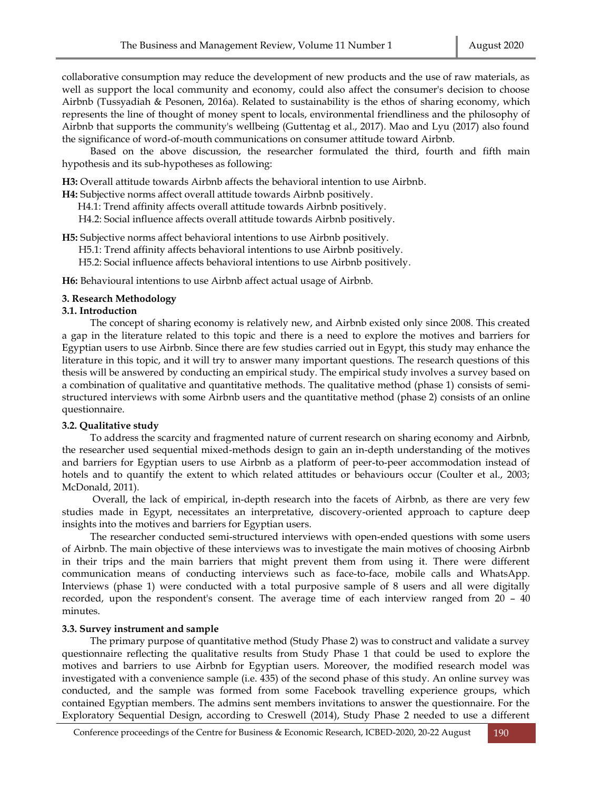collaborative consumption may reduce the development of new products and the use of raw materials, as well as support the local community and economy, could also affect the consumer's decision to choose Airbnb (Tussyadiah & Pesonen, 2016a). Related to sustainability is the ethos of sharing economy, which represents the line of thought of money spent to locals, environmental friendliness and the philosophy of Airbnb that supports the community's wellbeing (Guttentag et al., 2017). Mao and Lyu (2017) also found the significance of word-of-mouth communications on consumer attitude toward Airbnb.

Based on the above discussion, the researcher formulated the third, fourth and fifth main hypothesis and its sub-hypotheses as following:

**H3:** Overall attitude towards Airbnb affects the behavioral intention to use Airbnb.

**H4:** Subjective norms affect overall attitude towards Airbnb positively .

H4.1: Trend affinity affects overall attitude towards Airbnb positively .

H4.2: Social influence affects overall attitude towards Airbnb positively .

**H5:** Subjective norms affect behavioral intentions to use Airbnb positively.

H5.1: Trend affinity affects behavioral intentions to use Airbnb positively.

H5.2: Social influence affects behavioral intentions to use Airbnb positively .

**H6:** Behavioural intentions to use Airbnb affect actual usage of Airbnb.

#### **3. Research Methodology**

#### **3.1. Introduction**

The concept of sharing economy is relatively new, and Airbnb existed only since 2008. This created a gap in the literature related to this topic and there is a need to explore the motives and barriers for Egyptian users to use Airbnb. Since there are few studies carried out in Egypt, this study may enhance the literature in this topic, and it will try to answer many important questions. The research questions of this thesis will be answered by conducting an empirical study. The empirical study involves a survey based on a combination of qualitative and quantitative methods. The qualitative method (phase 1) consists of semistructured interviews with some Airbnb users and the quantitative method (phase 2) consists of an online questionnaire.

## **3.2. Qualitative study**

To address the scarcity and fragmented nature of current research on sharing economy and Airbnb, the researcher used sequential mixed-methods design to gain an in-depth understanding of the motives and barriers for Egyptian users to use Airbnb as a platform of peer-to-peer accommodation instead of hotels and to quantify the extent to which related attitudes or behaviours occur (Coulter et al., 2003; McDonald, 2011).

Overall, the lack of empirical, in-depth research into the facets of Airbnb, as there are very few studies made in Egypt, necessitates an interpretative, discovery-oriented approach to capture deep insights into the motives and barriers for Egyptian users.

The researcher conducted semi-structured interviews with open-ended questions with some users of Airbnb. The main objective of these interviews was to investigate the main motives of choosing Airbnb in their trips and the main barriers that might prevent them from using it. There were different communication means of conducting interviews such as face-to-face, mobile calls and WhatsApp. Interviews (phase 1) were conducted with a total purposive sample of 8 users and all were digitally recorded, upon the respondent's consent. The average time of each interview ranged from 20 – 40 minutes.

#### **3.3. Survey instrument and sample**

The primary purpose of quantitative method (Study Phase 2) was to construct and validate a survey questionnaire reflecting the qualitative results from Study Phase 1 that could be used to explore the motives and barriers to use Airbnb for Egyptian users. Moreover, the modified research model was investigated with a convenience sample (i.e. 435) of the second phase of this study. An online survey was conducted, and the sample was formed from some Facebook travelling experience groups, which contained Egyptian members. The admins sent members invitations to answer the questionnaire. For the Exploratory Sequential Design, according to Creswell (2014), Study Phase 2 needed to use a different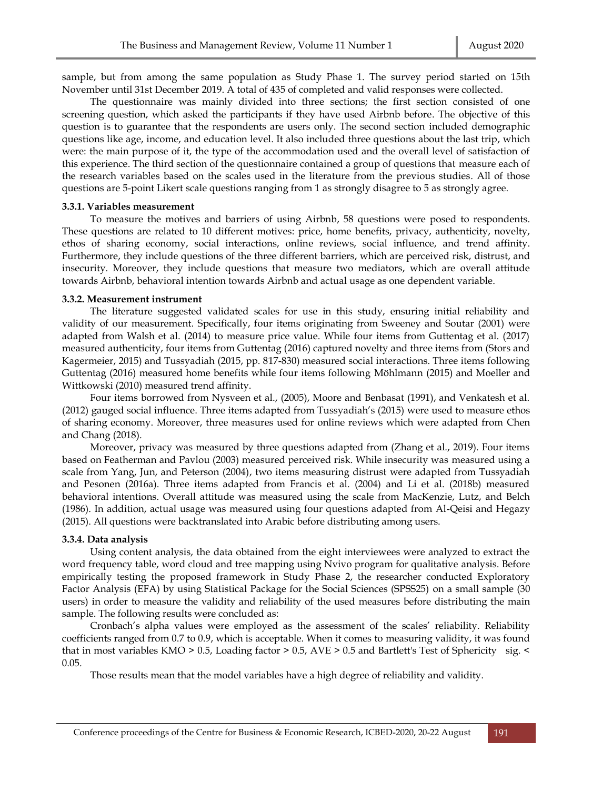sample, but from among the same population as Study Phase 1. The survey period started on 15th November until 31st December 2019. A total of 435 of completed and valid responses were collected.

The questionnaire was mainly divided into three sections; the first section consisted of one screening question, which asked the participants if they have used Airbnb before. The objective of this question is to guarantee that the respondents are users only. The second section included demographic questions like age, income, and education level. It also included three questions about the last trip, which were: the main purpose of it, the type of the accommodation used and the overall level of satisfaction of this experience. The third section of the questionnaire contained a group of questions that measure each of the research variables based on the scales used in the literature from the previous studies. All of those questions are 5-point Likert scale questions ranging from 1 as strongly disagree to 5 as strongly agree.

#### **3.3.1. Variables measurement**

To measure the motives and barriers of using Airbnb, 58 questions were posed to respondents. These questions are related to 10 different motives: price, home benefits, privacy, authenticity, novelty, ethos of sharing economy, social interactions, online reviews, social influence, and trend affinity. Furthermore, they include questions of the three different barriers, which are perceived risk, distrust, and insecurity. Moreover, they include questions that measure two mediators, which are overall attitude towards Airbnb, behavioral intention towards Airbnb and actual usage as one dependent variable.

#### **3.3.2. Measurement instrument**

The literature suggested validated scales for use in this study, ensuring initial reliability and validity of our measurement. Specifically, four items originating from Sweeney and Soutar (2001) were adapted from Walsh et al. (2014) to measure price value. While four items from Guttentag et al. (2017) measured authenticity, four items from Guttentag (2016) captured novelty and three items from (Stors and Kagermeier, 2015) and Tussyadiah (2015, pp. 817-830) measured social interactions. Three items following Guttentag (2016) measured home benefits while four items following Möhlmann (2015) and Moeller and Wittkowski (2010) measured trend affinity.

Four items borrowed from Nysveen et al., (2005), Moore and Benbasat (1991), and Venkatesh et al. (2012) gauged social influence. Three items adapted from Tussyadiah's (2015) were used to measure ethos of sharing economy. Moreover, three measures used for online reviews which were adapted from Chen and Chang (2018).

Moreover, privacy was measured by three questions adapted from (Zhang et al., 2019). Four items based on Featherman and Pavlou (2003) measured perceived risk. While insecurity was measured using a scale from Yang, Jun, and Peterson (2004), two items measuring distrust were adapted from Tussyadiah and Pesonen (2016a). Three items adapted from Francis et al. (2004) and Li et al. (2018b) measured behavioral intentions. Overall attitude was measured using the scale from MacKenzie, Lutz, and Belch (1986). In addition, actual usage was measured using four questions adapted from Al-Qeisi and Hegazy (2015). All questions were backtranslated into Arabic before distributing among users.

#### **3.3.4. Data analysis**

Using content analysis, the data obtained from the eight interviewees were analyzed to extract the word frequency table, word cloud and tree mapping using Nvivo program for qualitative analysis. Before empirically testing the proposed framework in Study Phase 2, the researcher conducted Exploratory Factor Analysis (EFA) by using Statistical Package for the Social Sciences (SPSS25) on a small sample (30 users) in order to measure the validity and reliability of the used measures before distributing the main sample. The following results were concluded as:

Cronbach's alpha values were employed as the assessment of the scales' reliability. Reliability coefficients ranged from 0.7 to 0.9, which is acceptable. When it comes to measuring validity, it was found that in most variables KMO > 0.5, Loading factor > 0.5, AVE > 0.5 and Bartlett's Test of Sphericity sig. < 0.05.

Those results mean that the model variables have a high degree of reliability and validity.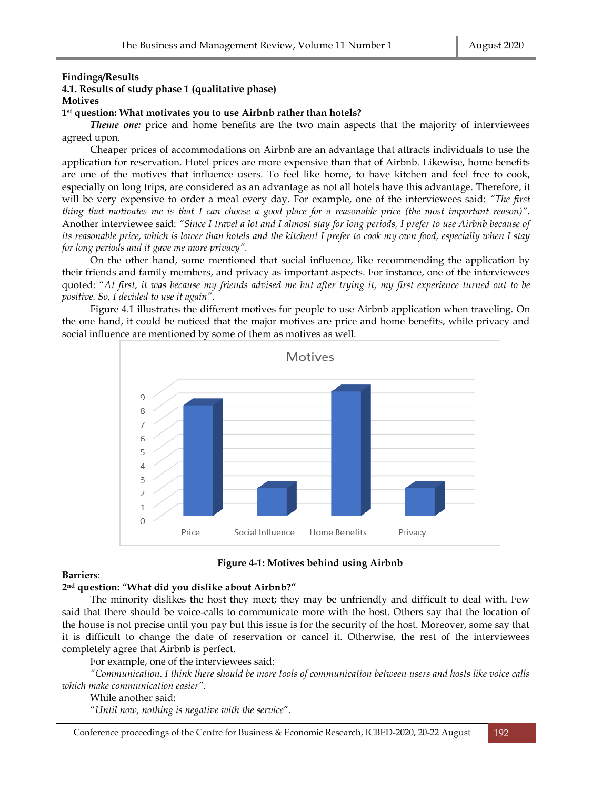## **Findings/Results**

# **4.1. Results of study phase 1 (qualitative phase)**

**Motives**

## **1 st question: What motivates you to use Airbnb rather than hotels?**

*Theme one:* price and home benefits are the two main aspects that the majority of interviewees agreed upon.

Cheaper prices of accommodations on Airbnb are an advantage that attracts individuals to use the application for reservation. Hotel prices are more expensive than that of Airbnb. Likewise, home benefits are one of the motives that influence users. To feel like home, to have kitchen and feel free to cook, especially on long trips, are considered as an advantage as not all hotels have this advantage. Therefore, it will be very expensive to order a meal every day. For example, one of the interviewees said: *"The first thing that motivates me is that I can choose a good place for a reasonable price (the most important reason)".* Another interviewee said: *"Since I travel a lot and I almost stay for long periods, I prefer to use Airbnb because of its reasonable price, which is lower than hotels and the kitchen! I prefer to cook my own food, especially when I stay for long periods and it gave me more privacy".*

On the other hand, some mentioned that social influence, like recommending the application by their friends and family members, and privacy as important aspects. For instance, one of the interviewees quoted: "*At first, it was because my friends advised me but after trying it, my first experience turned out to be positive. So, I decided to use it again".*

Figure 4.1 illustrates the different motives for people to use Airbnb application when traveling. On the one hand, it could be noticed that the major motives are price and home benefits, while privacy and social influence are mentioned by some of them as motives as well.



**Figure 4-1: Motives behind using Airbnb**

## **Barriers**:

## **2 nd question: "What did you dislike about Airbnb?"**

The minority dislikes the host they meet; they may be unfriendly and difficult to deal with. Few said that there should be voice-calls to communicate more with the host. Others say that the location of the house is not precise until you pay but this issue is for the security of the host. Moreover, some say that it is difficult to change the date of reservation or cancel it. Otherwise, the rest of the interviewees completely agree that Airbnb is perfect.

For example, one of the interviewees said:

*"Communication. I think there should be more tools of communication between users and hosts like voice calls which make communication easier".*

While another said:

"*Until now, nothing is negative with the service*".

Conference proceedings of the Centre for Business & Economic Research, ICBED-2020, 20-22 August 192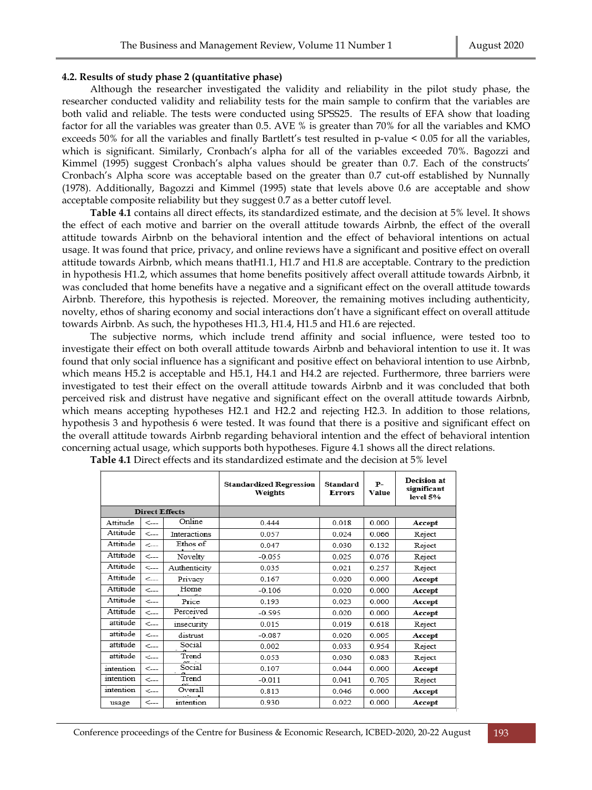## **4.2. Results of study phase 2 (quantitative phase)**

Although the researcher investigated the validity and reliability in the pilot study phase, the researcher conducted validity and reliability tests for the main sample to confirm that the variables are both valid and reliable. The tests were conducted using SPSS25. The results of EFA show that loading factor for all the variables was greater than 0.5. AVE % is greater than 70% for all the variables and KMO exceeds 50% for all the variables and finally Bartlett's test resulted in p-value < 0.05 for all the variables, which is significant. Similarly, Cronbach's alpha for all of the variables exceeded 70%. Bagozzi and Kimmel (1995) suggest Cronbach's alpha values should be greater than 0.7. Each of the constructs' Cronbach's Alpha score was acceptable based on the greater than 0.7 cut-off established by Nunnally (1978). Additionally, Bagozzi and Kimmel (1995) state that levels above 0.6 are acceptable and show acceptable composite reliability but they suggest 0.7 as a better cutoff level.

**Table 4.1** contains all direct effects, its standardized estimate, and the decision at 5% level. It shows the effect of each motive and barrier on the overall attitude towards Airbnb, the effect of the overall attitude towards Airbnb on the behavioral intention and the effect of behavioral intentions on actual usage. It was found that price, privacy, and online reviews have a significant and positive effect on overall attitude towards Airbnb, which means thatH1.1, H1.7 and H1.8 are acceptable. Contrary to the prediction in hypothesis H1.2, which assumes that home benefits positively affect overall attitude towards Airbnb, it was concluded that home benefits have a negative and a significant effect on the overall attitude towards Airbnb. Therefore, this hypothesis is rejected. Moreover, the remaining motives including authenticity, novelty, ethos of sharing economy and social interactions don't have a significant effect on overall attitude towards Airbnb. As such, the hypotheses H1.3, H1.4, H1.5 and H1.6 are rejected.

The subjective norms, which include trend affinity and social influence, were tested too to investigate their effect on both overall attitude towards Airbnb and behavioral intention to use it. It was found that only social influence has a significant and positive effect on behavioral intention to use Airbnb, which means H5.2 is acceptable and H5.1, H4.1 and H4.2 are rejected. Furthermore, three barriers were investigated to test their effect on the overall attitude towards Airbnb and it was concluded that both perceived risk and distrust have negative and significant effect on the overall attitude towards Airbnb, which means accepting hypotheses H2.1 and H2.2 and rejecting H2.3. In addition to those relations, hypothesis 3 and hypothesis 6 were tested. It was found that there is a positive and significant effect on the overall attitude towards Airbnb regarding behavioral intention and the effect of behavioral intention concerning actual usage, which supports both hypotheses. Figure 4.1 shows all the direct relations.

|           |                       |                     | <b>Standardized Regression</b><br>Weights | Standard<br><b>Errors</b> | $P-$<br>Value | <b>Decision at</b><br>significant<br>level 5% |
|-----------|-----------------------|---------------------|-------------------------------------------|---------------------------|---------------|-----------------------------------------------|
|           | <b>Direct Effects</b> |                     |                                           |                           |               |                                               |
| Attitude  | $\leftarrow$          | Online              | 0.444                                     | 0.018                     | 0.000         | Accept                                        |
| Attitude  | $\leftarrow$          | <b>Interactions</b> | 0.057                                     | 0.024                     | 0.066         | Reject                                        |
| Attitude  | $\leftarrow$          | Ethos of            | 0.047                                     | 0.030                     | 0.132         | Reject                                        |
| Attitude  | $\leftarrow$          | Novelty             | $-0.055$                                  | 0.025                     | 0.076         | Reject                                        |
| Attitude  | $\leftarrow$          | Authenticity        | 0.035                                     | 0.021                     | 0.257         | Reject                                        |
| Attitude  | $\leftarrow$          | Privacy             | 0.167                                     | 0.020                     | 0.000         | Accept                                        |
| Attitude  | $\leftarrow$          | Home                | $-0.106$                                  | 0.020                     | 0.000         | Accept                                        |
| Attitude  | $\leftarrow$          | Price               | 0.193                                     | 0.023                     | 0.000         | Accept                                        |
| Attitude  | $\leftarrow$          | Perceived           | $-0.595$                                  | 0.020                     | 0.000         | Accept                                        |
| attitude  | $\leftarrow$          | insecurity          | 0.015                                     | 0.019                     | 0.618         | Reject                                        |
| attitude  | $\leftarrow$          | distrust            | $-0.087$                                  | 0.020                     | 0.005         | Accept                                        |
| attitude  | $\leftarrow$          | Social              | 0.002                                     | 0.033                     | 0.954         | Reject                                        |
| attitude  | $\leftarrow$          | Trend               | 0.053                                     | 0.030                     | 0.083         | Reject                                        |
| intention | <---                  | Social              | 0.107                                     | 0.044                     | 0.000         | Accept                                        |
| intention | $\leftarrow$          | Trend               | $-0.011$                                  | 0.041                     | 0.705         | Reject                                        |
| intention | $\leftarrow$          | Overall             | 0.813                                     | 0.046                     | 0.000         | Accept                                        |
| usage     | $\leftarrow$          | intention           | 0.930                                     | 0.022                     | 0.000         | Accept                                        |

**Table 4.1** Direct effects and its standardized estimate and the decision at 5% level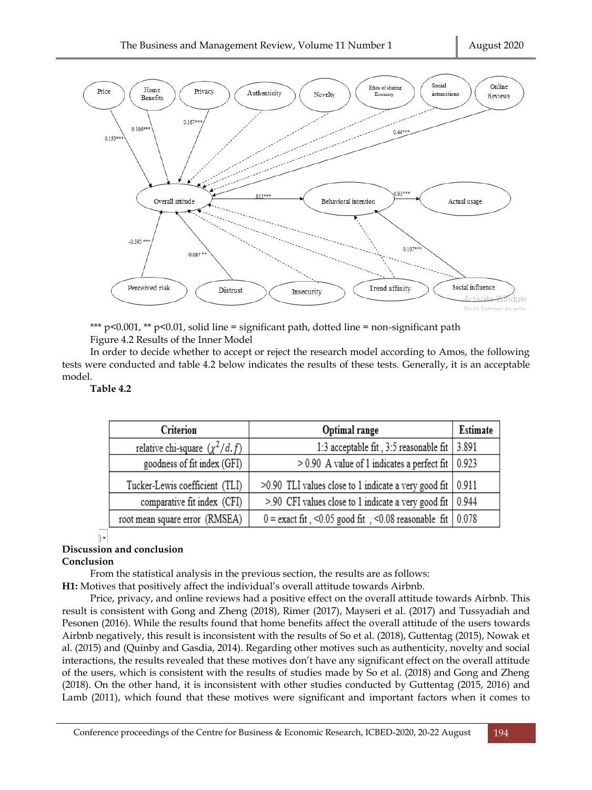

\*\*\*  $p<0.001$ , \*\*  $p<0.01$ , solid line = significant path, dotted line = non-significant path Figure 4.2 Results of the Inner Model

In order to decide whether to accept or reject the research model according to Amos, the following tests were conducted and table 4.2 below indicates the results of these tests. Generally, it is an acceptable model.

# **Table 4.2**

| Criterion                           | Optimal range                                                             | Estimate |
|-------------------------------------|---------------------------------------------------------------------------|----------|
| relative chi-square $(\chi^2/d. f)$ | 1:3 acceptable fit, 3:5 reasonable fit                                    | 3.891    |
| goodness of fit index (GFI)         | $> 0.90$ A value of 1 indicates a perfect fit $\vert 0.923 \rangle$       |          |
| Tucker-Lewis coefficient (TLI)      | >0.90 TLI values close to 1 indicate a very good fit   0.911              |          |
| comparative fit index (CFI)         | $> 0.90$ CFI values close to 1 indicate a very good fit $\vert$ 0.944     |          |
| root mean square error (RMSEA)      | $0 =$ exact fit, <0.05 good fit, <0.08 reasonable fit $\vert 0.078 \vert$ |          |

## $\mathcal{N}$

# **Discussion and conclusion**

## **Conclusion**

From the statistical analysis in the previous section, the results are as follows:

**H1:** Motives that positively affect the individual's overall attitude towards Airbnb.

Price, privacy, and online reviews had a positive effect on the overall attitude towards Airbnb. This result is consistent with Gong and Zheng (2018), Rimer (2017), Mayseri et al. (2017) and Tussyadiah and Pesonen (2016). While the results found that home benefits affect the overall attitude of the users towards Airbnb negatively, this result is inconsistent with the results of So et al. (2018), Guttentag (2015), Nowak et al. (2015) and (Quinby and Gasdia, 2014). Regarding other motives such as authenticity, novelty and social interactions, the results revealed that these motives don't have any significant effect on the overall attitude of the users, which is consistent with the results of studies made by So et al. (2018) and Gong and Zheng (2018). On the other hand, it is inconsistent with other studies conducted by Guttentag (2015, 2016) and Lamb (2011), which found that these motives were significant and important factors when it comes to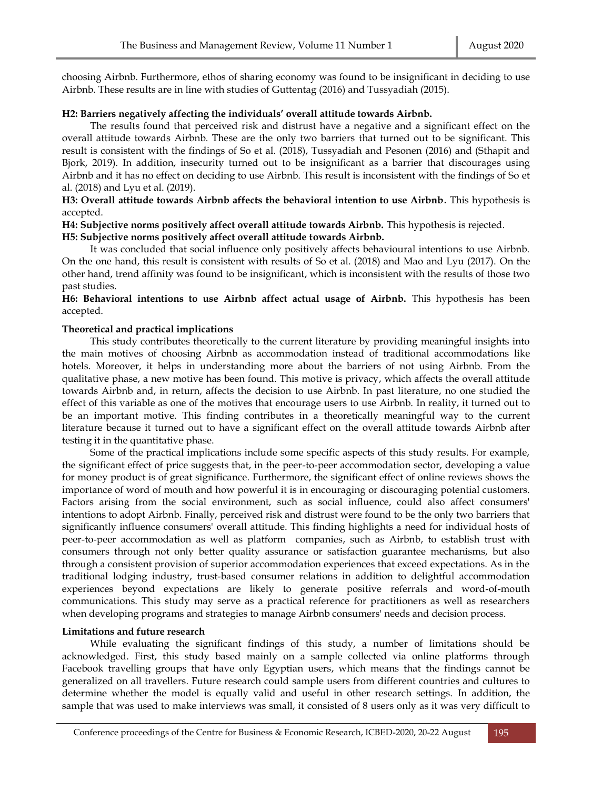choosing Airbnb. Furthermore, ethos of sharing economy was found to be insignificant in deciding to use Airbnb. These results are in line with studies of Guttentag (2016) and Tussyadiah (2015).

### **H2: Barriers negatively affecting the individuals' overall attitude towards Airbnb.**

The results found that perceived risk and distrust have a negative and a significant effect on the overall attitude towards Airbnb. These are the only two barriers that turned out to be significant. This result is consistent with the findings of So et al. (2018), Tussyadiah and Pesonen (2016) and (Sthapit and Bjork, 2019). In addition, insecurity turned out to be insignificant as a barrier that discourages using Airbnb and it has no effect on deciding to use Airbnb. This result is inconsistent with the findings of So et al. (2018) and Lyu et al. (2019).

# **H3: Overall attitude towards Airbnb affects the behavioral intention to use Airbnb.** This hypothesis is accepted.

# **H4: Subjective norms positively affect overall attitude towards Airbnb.** This hypothesis is rejected. **H5: Subjective norms positively affect overall attitude towards Airbnb.**

It was concluded that social influence only positively affects behavioural intentions to use Airbnb. On the one hand, this result is consistent with results of So et al. (2018) and Mao and Lyu (2017). On the other hand, trend affinity was found to be insignificant, which is inconsistent with the results of those two past studies.

**H6: Behavioral intentions to use Airbnb affect actual usage of Airbnb.** This hypothesis has been accepted.

## **Theoretical and practical implications**

This study contributes theoretically to the current literature by providing meaningful insights into the main motives of choosing Airbnb as accommodation instead of traditional accommodations like hotels. Moreover, it helps in understanding more about the barriers of not using Airbnb. From the qualitative phase, a new motive has been found. This motive is privacy, which affects the overall attitude towards Airbnb and, in return, affects the decision to use Airbnb. In past literature, no one studied the effect of this variable as one of the motives that encourage users to use Airbnb. In reality, it turned out to be an important motive. This finding contributes in a theoretically meaningful way to the current literature because it turned out to have a significant effect on the overall attitude towards Airbnb after testing it in the quantitative phase.

Some of the practical implications include some specific aspects of this study results. For example, the significant effect of price suggests that, in the peer-to-peer accommodation sector, developing a value for money product is of great significance. Furthermore, the significant effect of online reviews shows the importance of word of mouth and how powerful it is in encouraging or discouraging potential customers. Factors arising from the social environment, such as social influence, could also affect consumers' intentions to adopt Airbnb. Finally, perceived risk and distrust were found to be the only two barriers that significantly influence consumers' overall attitude. This finding highlights a need for individual hosts of peer-to-peer accommodation as well as platform companies, such as Airbnb, to establish trust with consumers through not only better quality assurance or satisfaction guarantee mechanisms, but also through a consistent provision of superior accommodation experiences that exceed expectations. As in the traditional lodging industry, trust-based consumer relations in addition to delightful accommodation experiences beyond expectations are likely to generate positive referrals and word-of-mouth communications. This study may serve as a practical reference for practitioners as well as researchers when developing programs and strategies to manage Airbnb consumers' needs and decision process.

#### **Limitations and future research**

While evaluating the significant findings of this study, a number of limitations should be acknowledged. First, this study based mainly on a sample collected via online platforms through Facebook travelling groups that have only Egyptian users, which means that the findings cannot be generalized on all travellers. Future research could sample users from different countries and cultures to determine whether the model is equally valid and useful in other research settings. In addition, the sample that was used to make interviews was small, it consisted of 8 users only as it was very difficult to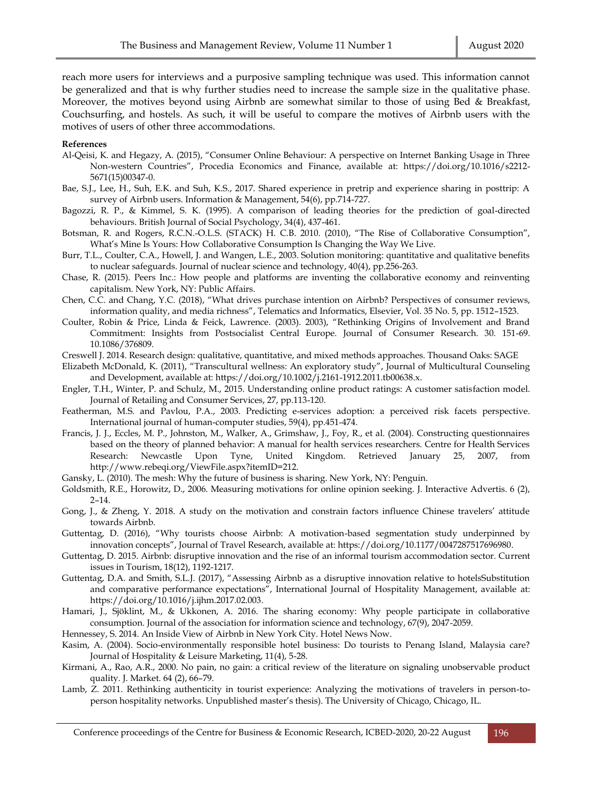reach more users for interviews and a purposive sampling technique was used. This information cannot be generalized and that is why further studies need to increase the sample size in the qualitative phase. Moreover, the motives beyond using Airbnb are somewhat similar to those of using Bed & Breakfast, Couchsurfing, and hostels. As such, it will be useful to compare the motives of Airbnb users with the motives of users of other three accommodations.

#### **References**

- Al-Qeisi, K. and Hegazy, A. (2015), "Consumer Online Behaviour: A perspective on Internet Banking Usage in Three Non-western Countries", Procedia Economics and Finance, available at: https://doi.org/10.1016/s2212- 5671(15)00347-0.
- Bae, S.J., Lee, H., Suh, E.K. and Suh, K.S., 2017. Shared experience in pretrip and experience sharing in posttrip: A survey of Airbnb users. Information & Management, 54(6), pp.714-727.
- Bagozzi, R. P., & Kimmel, S. K. (1995). A comparison of leading theories for the prediction of goal‐directed behaviours. British Journal of Social Psychology, 34(4), 437-461.
- Botsman, R. and Rogers, R.C.N.-O.L.S. (STACK) H. C.B. 2010. (2010), "The Rise of Collaborative Consumption", What's Mine Is Yours: How Collaborative Consumption Is Changing the Way We Live.
- Burr, T.L., Coulter, C.A., Howell, J. and Wangen, L.E., 2003. Solution monitoring: quantitative and qualitative benefits to nuclear safeguards. Journal of nuclear science and technology, 40(4), pp.256-263.
- Chase, R. (2015). Peers Inc.: How people and platforms are inventing the collaborative economy and reinventing capitalism. New York, NY: Public Affairs.
- Chen, C.C. and Chang, Y.C. (2018), "What drives purchase intention on Airbnb? Perspectives of consumer reviews, information quality, and media richness", Telematics and Informatics, Elsevier, Vol. 35 No. 5, pp. 1512–1523.
- Coulter, Robin & Price, Linda & Feick, Lawrence. (2003). 2003), "Rethinking Origins of Involvement and Brand Commitment: Insights from Postsocialist Central Europe. Journal of Consumer Research. 30. 151-69. 10.1086/376809.
- Creswell J. 2014. Research design: qualitative, quantitative, and mixed methods approaches. Thousand Oaks: SAGE
- Elizabeth McDonald, K. (2011), "Transcultural wellness: An exploratory study", Journal of Multicultural Counseling and Development, available at: https://doi.org/10.1002/j.2161-1912.2011.tb00638.x.
- Engler, T.H., Winter, P. and Schulz, M., 2015. Understanding online product ratings: A customer satisfaction model. Journal of Retailing and Consumer Services, 27, pp.113-120.
- Featherman, M.S. and Pavlou, P.A., 2003. Predicting e-services adoption: a perceived risk facets perspective. International journal of human-computer studies, 59(4), pp.451-474.
- Francis, J. J., Eccles, M. P., Johnston, M., Walker, A., Grimshaw, J., Foy, R., et al. (2004). Constructing questionnaires based on the theory of planned behavior: A manual for health services researchers. Centre for Health Services Research: Newcastle Upon Tyne, United Kingdom. Retrieved January 25, 2007, from http://www.rebeqi.org/ViewFile.aspx?itemID=212.
- Gansky, L. (2010). The mesh: Why the future of business is sharing. New York, NY: Penguin.
- Goldsmith, R.E., Horowitz, D., 2006. Measuring motivations for online opinion seeking. J. Interactive Advertis. 6 (2), 2–14.
- Gong, J., & Zheng, Y. 2018. A study on the motivation and constrain factors influence Chinese travelers' attitude towards Airbnb.
- Guttentag, D. (2016), "Why tourists choose Airbnb: A motivation-based segmentation study underpinned by innovation concepts", Journal of Travel Research, available at: https://doi.org/10.1177/0047287517696980.
- Guttentag, D. 2015. Airbnb: disruptive innovation and the rise of an informal tourism accommodation sector. Current issues in Tourism, 18(12), 1192-1217.
- Guttentag, D.A. and Smith, S.L.J. (2017), "Assessing Airbnb as a disruptive innovation relative to hotelsSubstitution and comparative performance expectations", International Journal of Hospitality Management, available at: https://doi.org/10.1016/j.ijhm.2017.02.003.
- Hamari, J., Sjöklint, M., & Ukkonen, A. 2016. The sharing economy: Why people participate in collaborative consumption. Journal of the association for information science and technology, 67(9), 2047-2059.
- Hennessey, S. 2014. An Inside View of Airbnb in New York City. Hotel News Now.
- Kasim, A. (2004). Socio-environmentally responsible hotel business: Do tourists to Penang Island, Malaysia care? Journal of Hospitality & Leisure Marketing, 11(4), 5-28.
- Kirmani, A., Rao, A.R., 2000. No pain, no gain: a critical review of the literature on signaling unobservable product quality. J. Market. 64 (2), 66–79.
- Lamb, Z. 2011. Rethinking authenticity in tourist experience: Analyzing the motivations of travelers in person-toperson hospitality networks. Unpublished master's thesis). The University of Chicago, Chicago, IL.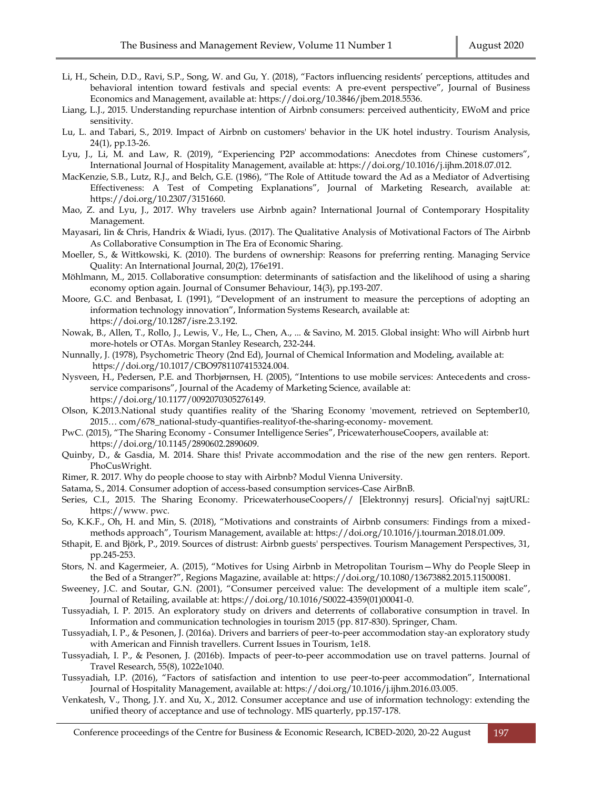- Li, H., Schein, D.D., Ravi, S.P., Song, W. and Gu, Y. (2018), "Factors influencing residents' perceptions, attitudes and behavioral intention toward festivals and special events: A pre-event perspective", Journal of Business Economics and Management, available at: https://doi.org/10.3846/jbem.2018.5536.
- Liang, L.J., 2015. Understanding repurchase intention of Airbnb consumers: perceived authenticity, EWoM and price sensitivity.
- Lu, L. and Tabari, S., 2019. Impact of Airbnb on customers' behavior in the UK hotel industry. Tourism Analysis, 24(1), pp.13-26.
- Lyu, J., Li, M. and Law, R. (2019), "Experiencing P2P accommodations: Anecdotes from Chinese customers", International Journal of Hospitality Management, available at: https://doi.org/10.1016/j.ijhm.2018.07.012.
- MacKenzie, S.B., Lutz, R.J., and Belch, G.E. (1986), "The Role of Attitude toward the Ad as a Mediator of Advertising Effectiveness: A Test of Competing Explanations", Journal of Marketing Research, available at: https://doi.org/10.2307/3151660.
- Mao, Z. and Lyu, J., 2017. Why travelers use Airbnb again? International Journal of Contemporary Hospitality Management.
- Mayasari, Iin & Chris, Handrix & Wiadi, Iyus. (2017). The Qualitative Analysis of Motivational Factors of The Airbnb As Collaborative Consumption in The Era of Economic Sharing.
- Moeller, S., & Wittkowski, K. (2010). The burdens of ownership: Reasons for preferring renting. Managing Service Quality: An International Journal, 20(2), 176e191.
- Möhlmann, M., 2015. Collaborative consumption: determinants of satisfaction and the likelihood of using a sharing economy option again. Journal of Consumer Behaviour, 14(3), pp.193-207.
- Moore, G.C. and Benbasat, I. (1991), "Development of an instrument to measure the perceptions of adopting an information technology innovation", Information Systems Research, available at: https://doi.org/10.1287/isre.2.3.192.
- Nowak, B., Allen, T., Rollo, J., Lewis, V., He, L., Chen, A., ... & Savino, M. 2015. Global insight: Who will Airbnb hurt more-hotels or OTAs. Morgan Stanley Research, 232-244.
- Nunnally, J. (1978), Psychometric Theory (2nd Ed), Journal of Chemical Information and Modeling, available at: https://doi.org/10.1017/CBO9781107415324.004.
- Nysveen, H., Pedersen, P.E. and Thorbjørnsen, H. (2005), "Intentions to use mobile services: Antecedents and crossservice comparisons", Journal of the Academy of Marketing Science, available at: https://doi.org/10.1177/0092070305276149.
- Olson, K.2013.National study quantifies reality of the 'Sharing Economy 'movement, retrieved on September10, 2015… com/678\_national-study-quantifies-realityof-the-sharing-economy- movement.
- PwC. (2015), "The Sharing Economy Consumer Intelligence Series", PricewaterhouseCoopers, available at: https://doi.org/10.1145/2890602.2890609.
- Quinby, D., & Gasdia, M. 2014. Share this! Private accommodation and the rise of the new gen renters. Report. PhoCusWright.
- Rimer, R. 2017. Why do people choose to stay with Airbnb? Modul Vienna University.
- Satama, S., 2014. Consumer adoption of access-based consumption services-Case AirBnB.
- Series, C.I., 2015. The Sharing Economy. PricewaterhouseCoopers// [Elektronnyj resurs]. Oficial'nyj sajtURL: https://www. pwc.
- So, K.K.F., Oh, H. and Min, S. (2018), "Motivations and constraints of Airbnb consumers: Findings from a mixedmethods approach", Tourism Management, available at: https://doi.org/10.1016/j.tourman.2018.01.009.
- Sthapit, E. and Björk, P., 2019. Sources of distrust: Airbnb guests' perspectives. Tourism Management Perspectives, 31, pp.245-253.
- Stors, N. and Kagermeier, A. (2015), "Motives for Using Airbnb in Metropolitan Tourism—Why do People Sleep in the Bed of a Stranger?", Regions Magazine, available at: https://doi.org/10.1080/13673882.2015.11500081.
- Sweeney, J.C. and Soutar, G.N. (2001), "Consumer perceived value: The development of a multiple item scale", Journal of Retailing, available at: https://doi.org/10.1016/S0022-4359(01)00041-0.
- Tussyadiah, I. P. 2015. An exploratory study on drivers and deterrents of collaborative consumption in travel. In Information and communication technologies in tourism 2015 (pp. 817-830). Springer, Cham.
- Tussyadiah, I. P., & Pesonen, J. (2016a). Drivers and barriers of peer-to-peer accommodation stay-an exploratory study with American and Finnish travellers. Current Issues in Tourism, 1e18.
- Tussyadiah, I. P., & Pesonen, J. (2016b). Impacts of peer-to-peer accommodation use on travel patterns. Journal of Travel Research, 55(8), 1022e1040.
- Tussyadiah, I.P. (2016), "Factors of satisfaction and intention to use peer-to-peer accommodation", International Journal of Hospitality Management, available at: https://doi.org/10.1016/j.ijhm.2016.03.005.
- Venkatesh, V., Thong, J.Y. and Xu, X., 2012. Consumer acceptance and use of information technology: extending the unified theory of acceptance and use of technology. MIS quarterly, pp.157-178.

Conference proceedings of the Centre for Business & Economic Research, ICBED-2020, 20-22 August 197